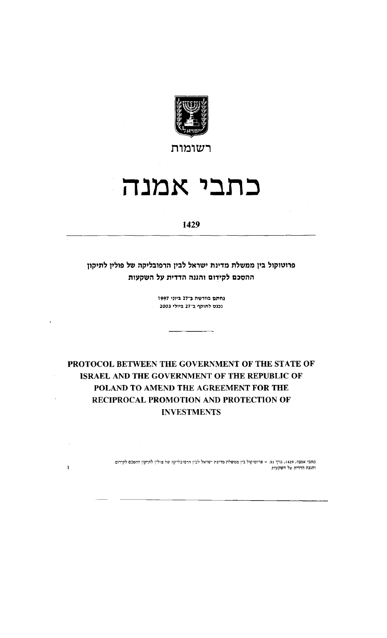

 **ר שומות**

# **כתבי אמנה**

## **1429**

 **פ רוטוקול בין מ משלת מ דינת ישראל ל בק ה רפובליקה של פ ולק ל תיקון ה הסכם ל קידוס והגנה ה דדית ע ל השקעות**

> **נ חתם בוורשה ב־ד2 בימי 997 ו נכנס לתוקף בי27 ביולי 2003**

# **PROTOCOL BETWEEN THE GOVERNMENT OF THE STATE OF ISRAEL AND THE GOVERNMENT OF THE REPUBLIC OF POLAND TO AMEND THE AGREEMENT FOR THE RECIPROCAL PROMOTION AND PROTECTION OF INVESTMENTS**

**1** 

 **כתבי אמנה, ,1429 כרך .53 - פרוטוקול בין ממשלת מדינת ישראל לבין הרפובליקה של פולין לתיקון ההסכם לקידום והגנה הדדית על השקעות**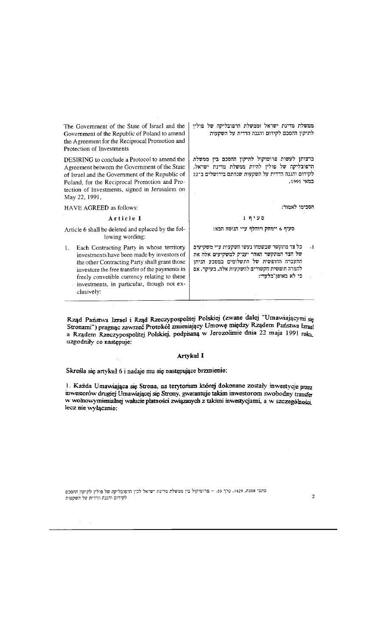The Government of the State of Israel and the Government of the Republic of Poland to amend the Agreement for the Reciprocal Promotion and Protection of Investments

DESIRING to conclude a Protocol to amend the Agreement between the Government of the State of Israel and the Government of the Republic of Poland, for the Reciprocal Promotion and Protection of Investments, signed in Jerusalem on May 22, **1991,** 

HAVE AGREED as follows:

#### **Articl e 1**

Article **6** shall be deleted and eplaced by the following wording:

1. Each Contracting Party in whose territory investments have been made by investors of the other Contracting Party shall grant those investore the free transfer of the payments in freely convetible currency relating to these . investments, in particular, though not exclusively:

 **ממשלת מדינת ישראל וממשלת הרפובליקה של פולין לתיקון ההסכם לקידום והגנה הדדית על השקעות**

 **ברצותן לעשות פרוטוקול לתיקון ההסכם בין ממשלת הרפובליקה של פולין להיות ממשלת מדינת ישראל, לקידום והגנה הדדית על השקעות שנחתם בירושלים ב־22 במאי ,1991**

 **הסכימו לאמור:**

#### **ס עיף 1**

 **סעיף 6 יימחק ויוחלף ע״י הנוסח הבא:**

 **.1 כל צד מתקשר שבשטחו נעשו השקעות ע״י משקיעים של הצד המתקשר האחר יעניק למשקיעים אלה את ההעברה החופשית של התשלומים במטבע הניתן להמרה חופשית הקשורים להשקעות אלה, בעיקר, אם כי לא באופןיבלעדי:**

Rząd Państwa Izrael i Rząd Rzeczypospolitej Polskiej (zwane dalej "Umawiającymi się Stronami") pragnąc zawrzec Protokół zmieniający Umowę między Rządem Państwa Izrael a Rządem Rzeczypospolitej Polskiej, podpisaną w Jerozolimie dnia 22 maja 1991 roku. **uzgodnily co nast^puje:** 

#### **Artykul I**

Skreśla się artykuł 6 i nadaje mu się następujące brzmienie:

1. Każda Umawiająca się Strona, na terytorium której dokonane zostały inwestycje przez *mwestorow drugiej Umawiającej się Strony*, gwarantuje takim inwestorom swobodny transfer w wolnowymienialnej wałucie płatności związanych z takimi mwestycjami, a w szczególności. lecz nie wyłącznie:

כתבי אמנה, 1429, כרך 53. – פרוטוקול בין ממשלת מדינת ישראל לבין הרפובליקה של פּוּלין לתיקון ההסכם  **2 לקידום ׳הגנה הדדית על השקעות**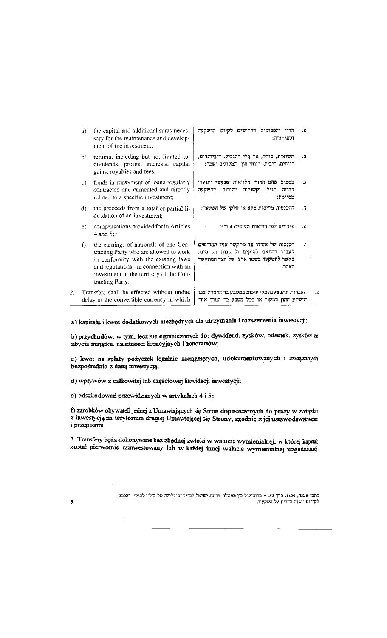|    | a)                                                                                      | the capital and additional sums neces-<br>sary for the maintenance and develop-<br>ment of the investment;                                                                                                                       | ההון והסכומים הדרושים לקיום ההשקעה<br>۰Χ<br>ולפיתוחה;                                                                                 |  |
|----|-----------------------------------------------------------------------------------------|----------------------------------------------------------------------------------------------------------------------------------------------------------------------------------------------------------------------------------|---------------------------------------------------------------------------------------------------------------------------------------|--|
|    | b)                                                                                      | returna, including but not limited to:<br>dividends, profits, interests, capital<br>gains, royalties and fees;                                                                                                                   | תשואות, כולל, אך בלי להגביל, דיבידנדים,<br>د.<br>רווחים, ריבית, רווחי הון, תמלוגים ושכר;                                              |  |
|    | c)                                                                                      | funds in repayment of loans regularly<br>contracted and cumented and directly<br>related to a specific investment;                                                                                                               | כספים שהם החזרי הלוואות שנעשו ותועדו<br>$\ddot{\phantom{a}}$<br>רגיל וקשורים<br>להשקעת<br>שירות<br>בחוזה<br>מסוימת:                   |  |
|    | đ)                                                                                      | the proceeds from a total or partial li-<br>quidation of an investment;                                                                                                                                                          | ההכנסות מחיסות מלא או חלקי של השקעה:<br>.7                                                                                            |  |
|    | e)                                                                                      | compensations provided for in Articles<br>4 and $5$ ;                                                                                                                                                                            | פיצויים לפי הוראות סעיפים 4 ו־5;<br>٦.                                                                                                |  |
|    | f)                                                                                      | the earnings of nationals of one Con-<br>tracting Party who are allowed to work<br>in conformity with the existing laws<br>and regulations - in connection with an<br>investment in the territory of the Con-<br>tracting Party. | הכנסות של אזרחי צד מתקשר אחד המורשים<br>$\cdot$<br>לעבוד בהתאם לחוקים ולתקנות הקיימים,<br>בקשר להשקעה בשטח ארצו של הצד המתקשר<br>האחר |  |
| 2. | Transfers shall be effected without undue<br>delay in the convertible currency in which |                                                                                                                                                                                                                                  | העברות תתבצענה בלי עיכוב במטבע בר ההמרה שבו<br>$\cdot$ <sup>2</sup><br>הושקע ההון במקור או בכל מטבע בר המרה אחר                       |  |

 $\ddot{\phantom{a}}$ 

a) kapitału i kwot dodatkowych niezbędnych dla utrzymania i rozszerzenia inwestycji:

**b) przychodöw. w tym, lecznie ograniczonych do: dywidemd, zysköw, odsetek. zysköw ze zbycia majqtku, naleznosci liceacyjnych i hoaorariöw;** 

**c) kwot na splaty pozyczek legainie zaciqgniptych, udokumentowanych i zwi^2anych bezposrednio z dang mwestycjg;** 

**d) wpiywöw z calkowitej lub czpsciowej Ukwidacji inwestygi:** 

**e) odszkodowan pizewidzianych w artykulacb 4 15:** 

f) zarobków obywateli jednej z Umawiających się Stron dopuszczonych do pracy w związku z inwestycją na terytorium drugiej Umawiającej się Strony, zgodnie z jej ustawodawstwem **i przepisami.** 

**2. Transfeiy bpd^ dokonywane bez zbpdnej zwioki w walucie wymienialnej. w ktörej kapital**  został pierwotnie zainwestowany lub w każdej innej walucie wymienialnej uzgodnionej

> **כתבי אמנה, ,1429 כרך .53 - פרוטוקול בין ממשלת מדינת ישראל לביןי הרפובליקה של פולין לתיקון ההסכם לקידום והגנה הדדית על השקעות**

**3**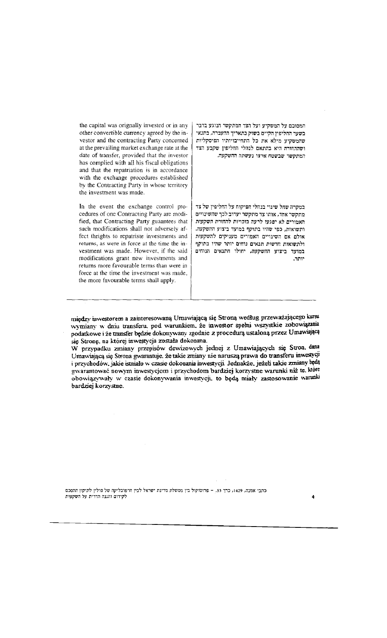the capital was orignally invested or in any other convertible currency agreed by the investor and the contracting Party concerned at the prevailing market exchange rate at the date of transfer, provided that the investor has complied with all his fiscal obligations and that the repatriation is in accordance with the exchange procedures established by the Contracting Party in whose territory the investment was made. In the event the exchange control pro-

cedures of one Contracting Party are modified, that Contracting Party guaantees that such modifications shall not adversely affect thrights to repatriste investments and returns, as were in force at the time the investment was made. However, if the said modifications grant new investments and returns more favourable terms than were in force at the time the investment was made, the more favourable terms shall apply.

 **המסוכם על המשקיע ועל הצד המתקשר הנוגע בדבר בשער החליפין הקיים בשוק בתאריך ההעברה, בתנא־ שהמשקיע מילא את כל התחייבויותיו הפיסקליות ושההחזרה היא בהתאם לנהלי החליפין שקבע הצד המתקשר שבשסח ארצו נעשתה ההשקעה.**

 **במקרה שחל שינוי בנהלי הפיקוח על החליפין של צד מתקשר אחד, אותו צד מתקשר יערוב לכך שהשינויים האמורים לא יפגעו לרעה בזכויות להחזרת השקעות ותשואות, כפי שהיו בתוקף במועד ביצוע ההשקעה. אולם אם השינויים האמורים מעניקים להשקעות זלתשואות חדשות תנאים נוחים יותר שהיו בתוקף במועד ביצוע ההשקעה, יחולו התנאים הנוחים יותר.**

między mwestorem a zamteresowaną Urnawiającą się Stroną według przeważającego kursu **wymianv w dniu transferu. pod warunkiem. ze tnwestor spefaii wszystkie zobowiazama podatkowe i ze transfer bpdzie dokoiiywany zgodnie** *z* **procedure ustalona przez Umawiajaca sip Strone. na ktorej inwestycja zostaia dokonana.** 

W przypadku zmiany przepisów dewizowych jednej z Umawiających się Stron. dana Umawiającą się Strona gwarantuje. że takie zmiany nie naruszą prawa do transferu inwestycji **i przychodow, jakie tstnialo w czasie dokonania mwestycji. Jednakze. jezeli takie zmiany bpd? gwaramowac nowym mwestycjom i przychodom bardziej korzystne warunki niz te. ktore**  obowiązywały w czasie dokonywania inwestycji. to będą miały zastosowanie warunki **bardziej korzystne.** 

**- פרוטוקול בין ממשלת מדינת ישראל לבין הרפובליקה של פולין לתיקון ההסכם כתבי אמנה, ,1429 כרך .53 לקידום והגנה הדדית על השקעות**

**4**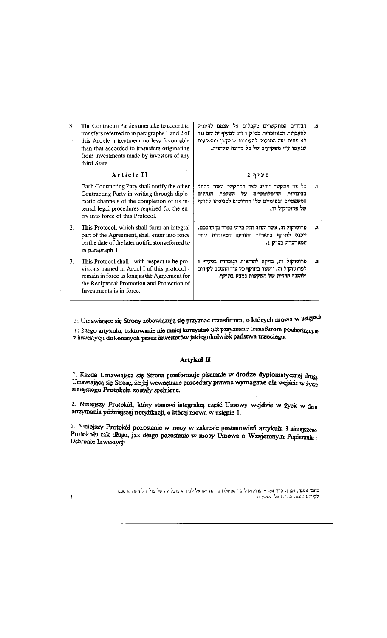| The Contractin Parties unertake to accord to<br>transfers referred to in paragraphs 1 and 2 of<br>this Article a treatment no less favourable<br>than that accorded to trasnsfers originating<br>from investments made by investors of any<br>third State. | הצדדים המתקשרים מקבלים על עצמם להעניק<br>. . 3<br>להעברות המאוזכרות בס״ק 1 ו־2 לסעיף זה יחס נוח<br>לא פחות מזה המוענק להעברות שמקורן בהשקעות<br>שנעשו ע״י משקיעים של כל מדינה שלישית. |  |
|------------------------------------------------------------------------------------------------------------------------------------------------------------------------------------------------------------------------------------------------------------|---------------------------------------------------------------------------------------------------------------------------------------------------------------------------------------|--|
| Article II                                                                                                                                                                                                                                                 | סעיף 2                                                                                                                                                                                |  |
| Each Contracting Pary shall notify the other                                                                                                                                                                                                               | כל צד מתקשר יודיע לצד המתקשר האחר בכתב                                                                                                                                                |  |

try into force of this Protocol.

in paragraph **1.** 

**5** 

Investments is in force.

**2.** This Protocol, which shall form an integral part of the Agreement, shall enter into force on the date of the later notificaton referred to

**3.** This Protocol shall - with respect to he provisions named in Articl **I** of this protocol remain in force as long as the Agreement for the Reciprocal Promotion and Protection of

- Contracting Party in writing through diplomatic channels of the completion of its internal legal procedures required for the en- **.1 כל צד מתקשר יודיע לצד המתקשר האחר בכתב בצינורות הדיפלומטיים על השלמת הנהלים המשפטיים הנפימייס שלו הדרושים לכניסתו לתוקף של פרוטוקול זה.**
	- **.2 פרוטוקול זה, אשר יהווה חלק בלתי נפרד מן ההסכם, ייכנס לתוקף בתאריך ההודעה המאוחרת יותר המאוזכרת בס״ק .1**
	- **.3 פרוטוקול זה, בזיקה להוראות הנזכרות בסעיף 1 לפרוטוקול זה, יישאר בתוקף כל עוד ההסכם לקידום ולהגנה הדדית של השקעות נמצא בתוקף.**
- 3. Umawiające się Strony zobowiązują się przyznać transferom, o których mowa w ustępach

**112 tego artyjcuhj, traktowanie nie mniej korzystne** *viz* **przyznane transferom pochodz^cym 2 inwestycji dokonanych przez mwestordw jakiegokolwiek paristwa trzeciego.** 

#### **Artykul II**

1. Każda Umawiająca się Strona pomformuje pisemnie w drodze dyplomatycznej drugą Umawiającą się Stronę, że jej wewnętrzne procedury prawne wymagane dla wejścia w życie **nioiejszego Protokohi** *zostefy* **spe&ione.** 

2. Niniejszy Protokół, który stanowi integralną część Umowy wejdzie w życie w dniu **otrzymania pozniejszej notyfikacji, 0 ktorej mowa w ustppie 1.** 

**3. Niniejszy Protokol pozostanie w mocy w zakresie postanowien artykuhi I nioiejszego Protokoiu tak (Hugo, jak dtogo pozostanie w mocy Umowa 0 Wzajemnym Popieraniu i Ockronie Inwestycji** 

> **כתבי אמנה, ,1429 כרך .53 - פרוטוקול בין ממשלת מדינת ישראל לב־ן הרפובליקה של פולין לתיקון ההסכם לקידום והגנה הדדית על השקעות**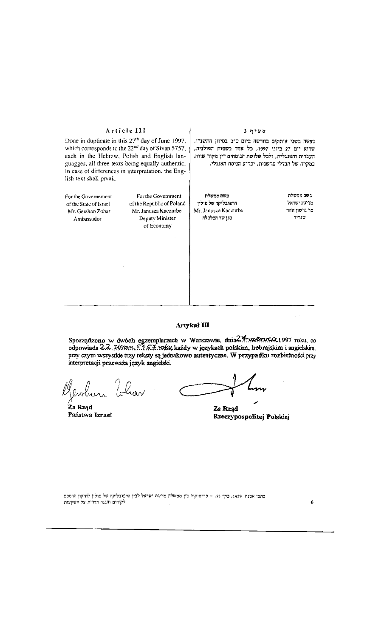|                                                                                  | Article III                                                                                                                                                                                                                                                           | סעיף 3                                                                                                                                                                                               |                                                    |  |
|----------------------------------------------------------------------------------|-----------------------------------------------------------------------------------------------------------------------------------------------------------------------------------------------------------------------------------------------------------------------|------------------------------------------------------------------------------------------------------------------------------------------------------------------------------------------------------|----------------------------------------------------|--|
| lish text shall prvail.                                                          | Done in duplicate in this $27th$ day of June 1997,<br>which corresponds to the $22^{nd}$ day of Sivan 5757,<br>each in the Hebrew, Polish and English lan-<br>guagges, all three texts being equally authentic.<br>In case of differences in interpretation, the Eng- | נעשה בשני עותקים בוורשה ביום כ״ב בסיוון התשנ״ז,<br>שהוא יום 27 ביוני 1997, כל אחד בשפות הפולנית,<br>העברית והאנגלית, ולכל שלושת הגוסחים דין מקור שווה.<br>במקרה של הבדלי פרשנות, יכריע הנוסח האנגלי. |                                                    |  |
| For the Governement<br>of the State of Israel<br>Mr. Gershon Zohar<br>Ambassador | For the Government<br>of the Republic of Poland<br>Mr. Janusza Kaczurbe<br>Deputy Minister<br>of Economy                                                                                                                                                              | בשם ממשלת<br>הרפובליקה של פולין<br>Mr. Janusza Kaczurbe<br>סגן שר הכלכלה                                                                                                                             | בשם ממשלת<br>מדינת ישראל<br>מר גרשון זוהר<br>שגריר |  |

### **Artykui III**

Sporządzono w dwóch egzemplarzach w Warszawie, dnia<del>4. f. 02.2017.00</del>21997 *roku*, co odpowiada 2.2. Suram, SIS X raku każdy w językach polskim, hebrajskim i angielskim. **przy c2ym wszystkie trzy teksty s\$ jednakowo autentyczne. W przypadku rozbiezno&i przy intetpretacji przewaza jpzyk angielski** 

Tohar

**; 21a Rz^d**  Państwa Izrael

**ZaRzgd RzeczypospoHtej Polskiej** 

כתבי אמנה, 1429, כרך 53. - פדיטוקול בין ממשלת מדינת ישראל לבין הרפובליקה של פולין לתיקון ההסכם  **6 לקידום והגנה הדדית על השקעות**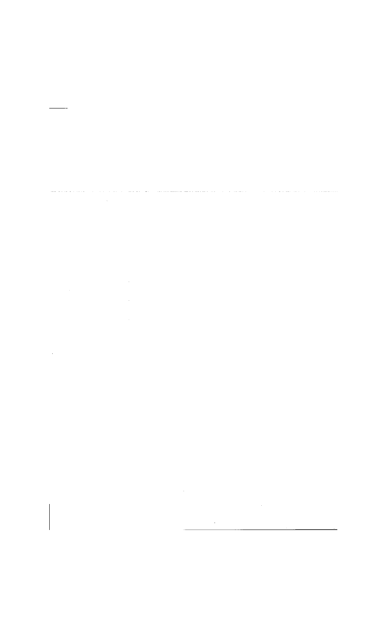$\label{eq:1} \begin{array}{lllllllll} \hspace{-0.2cm} \begin{array}{lllllllllllllllllll} \hspace{-0.2cm} \text{and} & \hspace{-0.2cm} \text{and} & \hspace{-0.2cm} \text{and} \hspace{-0.2cm} \text{and} \hspace{-0.2cm} \text{and} \hspace{-0.2cm} \text{and} \hspace{-0.2cm} \text{and} \hspace{-0.2cm} \text{and} \hspace{-0.2cm} \text{and} \hspace{-0.2cm} \text{and} \hspace{-0.2cm} \text{and} \hspace{-0.2cm} \text{and} \hspace{-0.2$ والمتحسس والمحاور  $\omega_{\rm{eff}}(\omega_{\rm{eff}}) = \omega_{\rm{eff}}(\omega_{\rm{eff}}) \, , \label{eq:omega}$  $\sim$  1000 m and an algorithm and algorithm and algorithm 

 $\label{eq:2} \frac{1}{\sqrt{2}}\sum_{i=1}^n\frac{1}{\sqrt{2}}\sum_{i=1}^n\frac{1}{\sqrt{2}}\sum_{i=1}^n\frac{1}{\sqrt{2}}\sum_{i=1}^n\frac{1}{\sqrt{2}}\sum_{i=1}^n\frac{1}{\sqrt{2}}\sum_{i=1}^n\frac{1}{\sqrt{2}}\sum_{i=1}^n\frac{1}{\sqrt{2}}\sum_{i=1}^n\frac{1}{\sqrt{2}}\sum_{i=1}^n\frac{1}{\sqrt{2}}\sum_{i=1}^n\frac{1}{\sqrt{2}}\sum_{i=1}^n\frac{1$ 

 $\frac{1}{2} \int_{\mathbb{R}^2} \frac{1}{\sqrt{2}} \, \mathrm{d} x$ 

 $\label{eq:2.1} \frac{1}{\sqrt{2}}\sum_{i=1}^n\frac{1}{\sqrt{2}}\sum_{i=1}^n\frac{1}{\sqrt{2}}\sum_{i=1}^n\frac{1}{\sqrt{2}}\sum_{i=1}^n\frac{1}{\sqrt{2}}\sum_{i=1}^n\frac{1}{\sqrt{2}}\sum_{i=1}^n\frac{1}{\sqrt{2}}\sum_{i=1}^n\frac{1}{\sqrt{2}}\sum_{i=1}^n\frac{1}{\sqrt{2}}\sum_{i=1}^n\frac{1}{\sqrt{2}}\sum_{i=1}^n\frac{1}{\sqrt{2}}\sum_{i=1}^n\frac$ 

 $\label{eq:2} \frac{1}{\sqrt{2}}\int_{0}^{\infty}\frac{1}{\sqrt{2\pi}}\left(\frac{1}{\sqrt{2\pi}}\right)^{2}d\mu$ 

 $\frac{1}{\sqrt{2}}$